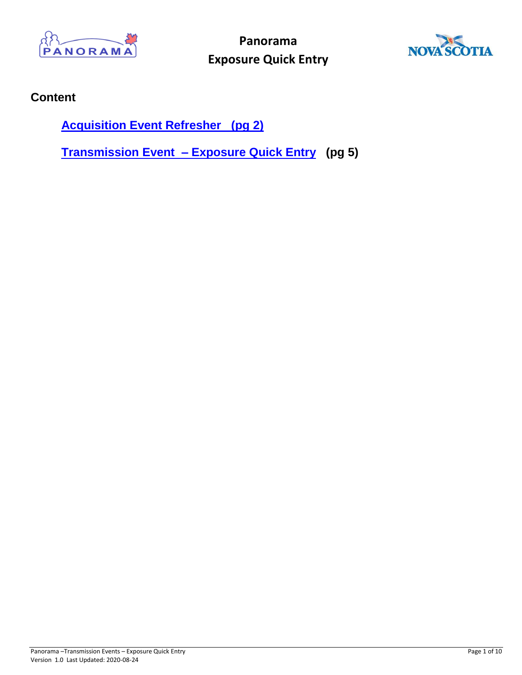



## **Content**

**[Acquisition Event Refresher \(pg 2\)](#page-1-0)**

**[Transmission Event –](#page-4-0) Exposure Quick Entry (pg 5)**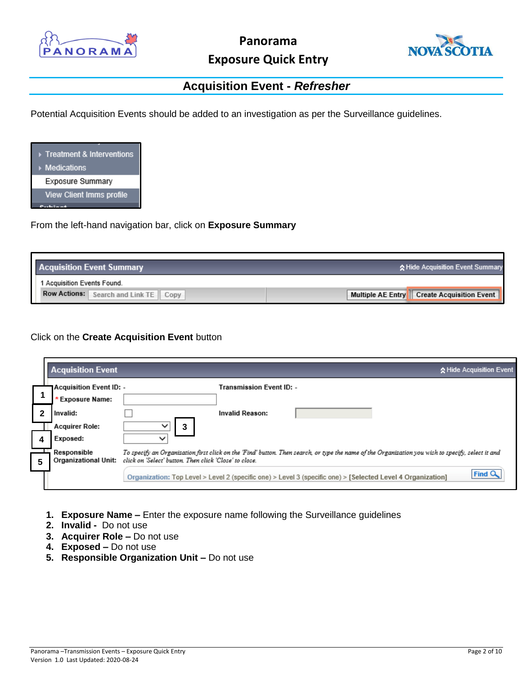



## **Acquisition Event -** *Refresher*

<span id="page-1-0"></span>Potential Acquisition Events should be added to an investigation as per the Surveillance guidelines.



From the left-hand navigation bar, click on **Exposure Summary**

| <b>Acquisition Event Summary</b>               | ☆ Hide Acquisition Event Summary             |
|------------------------------------------------|----------------------------------------------|
| 1 Acquisition Events Found.                    |                                              |
| <b>Row Actions:</b><br>Search and Link TE Copy | Multiple AE Entry   Create Acquisition Event |

Click on the **Create Acquisition Event** button

|   | <b>Acquisition Event</b>       |                                                                                                                                                   | ☆ Hide Acquisition Event |
|---|--------------------------------|---------------------------------------------------------------------------------------------------------------------------------------------------|--------------------------|
|   | <b>Acquisition Event ID: -</b> | Transmission Event ID: -                                                                                                                          |                          |
|   | * Exposure Name:               |                                                                                                                                                   |                          |
|   | Invalid:                       | <b>Invalid Reason:</b>                                                                                                                            |                          |
|   | <b>Acquirer Role:</b>          | $\checkmark$                                                                                                                                      |                          |
|   | Exposed:                       | $\check{ }$                                                                                                                                       |                          |
|   | Responsible                    | To specify an Organization first click on the 'Find' button. Then search, or type the name of the Organization you wish to specify, select it and |                          |
| 5 | <b>Organizational Unit:</b>    | click on 'Select' button. Then click 'Close' to close.                                                                                            |                          |
|   |                                | Organization: Top Level > Level 2 (specific one) > Level 3 (specific one) > [Selected Level 4 Organization]                                       | Find <sup>C</sup>        |
|   |                                |                                                                                                                                                   |                          |

- **1. Exposure Name –** Enter the exposure name following the Surveillance guidelines
- **2. Invalid** Do not use
- **3. Acquirer Role –** Do not use
- **4. Exposed –** Do not use
- **5. Responsible Organization Unit –** Do not use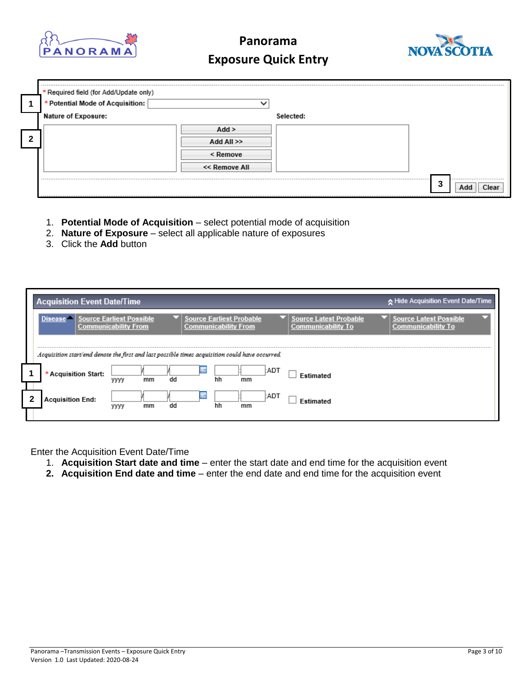



| * Required field (for Add/Update only)<br>* Potential Mode of Acquisition: |               |           |           |
|----------------------------------------------------------------------------|---------------|-----------|-----------|
| Nature of Exposure:                                                        |               | Selected: |           |
|                                                                            | Add           |           |           |
|                                                                            | Add All >>    |           |           |
|                                                                            | < Remove      |           |           |
|                                                                            | << Remove All |           |           |
|                                                                            |               |           | -3<br>Add |

- 1. **Potential Mode of Acquisition** select potential mode of acquisition
- 2. **Nature of Exposure** select all applicable nature of exposures
- 3. Click the **Add** button

|   | <b>Acquisition Event Date/Time</b>                                                              |                                                                |                  |                                                                |                                                            |                                                            | k Hide Acquisition Event Date/Time |
|---|-------------------------------------------------------------------------------------------------|----------------------------------------------------------------|------------------|----------------------------------------------------------------|------------------------------------------------------------|------------------------------------------------------------|------------------------------------|
|   | <b>Disease</b>                                                                                  | <b>Source Earliest Possible</b><br><b>Communicability From</b> |                  | <b>Source Earliest Probable</b><br><b>Communicability From</b> | <b>Source Latest Probable</b><br><b>Communicability To</b> | <b>Source Latest Possible</b><br><b>Communicability To</b> |                                    |
|   | Acquisition start/end denote the first and last possible times acquisition could have occurred. |                                                                |                  |                                                                |                                                            |                                                            |                                    |
|   | * Acquisition Start:                                                                            | mm<br>уууу                                                     | <b>ARE</b><br>dd | hh<br>mm                                                       | <b>CADT</b><br>Estimated                                   |                                                            |                                    |
| 2 | <b>Acquisition End:</b>                                                                         | mm<br>уууу                                                     | Ш<br>dd          | hh<br>mm                                                       | :ADT<br><b>Fstimated</b>                                   |                                                            |                                    |
|   |                                                                                                 |                                                                |                  |                                                                |                                                            |                                                            |                                    |

Enter the Acquisition Event Date/Time

- 1. **Acquisition Start date and time** enter the start date and end time for the acquisition event
- **2. Acquisition End date and time** enter the end date and end time for the acquisition event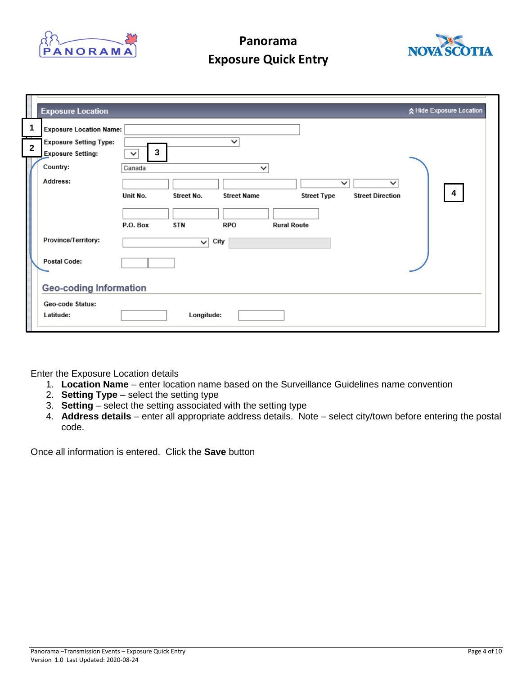



|   |                         | <b>Exposure Location</b>                                  |                   |            |                    |                    |             |                             | ☆ Hide Exposure Location |
|---|-------------------------|-----------------------------------------------------------|-------------------|------------|--------------------|--------------------|-------------|-----------------------------|--------------------------|
| H | 1                       | <b>Exposure Location Name:</b>                            |                   |            |                    |                    |             |                             |                          |
|   | $\overline{\mathbf{2}}$ | <b>Exposure Setting Type:</b><br><b>Exposure Setting:</b> | 3<br>$\checkmark$ |            | $\checkmark$       |                    |             |                             |                          |
|   |                         | Country:<br>Address:                                      | Canada            |            | $\checkmark$       |                    |             | $\check{ }$<br>$\checkmark$ |                          |
|   |                         |                                                           | Unit No.          | Street No. | <b>Street Name</b> |                    | Street Type | <b>Street Direction</b>     | $\overline{\mathbf{4}}$  |
|   |                         |                                                           | P.O. Box          | <b>STN</b> | RPO                | <b>Rural Route</b> |             |                             |                          |
|   |                         | Province/Territory:                                       |                   | ◡          | City               |                    |             |                             |                          |
|   |                         | Postal Code:                                              |                   |            |                    |                    |             |                             |                          |
|   |                         | <b>Geo-coding Information</b>                             |                   |            |                    |                    |             |                             |                          |
|   |                         | Geo-code Status:<br>Latitude:                             |                   | Longitude: |                    |                    |             |                             |                          |

Enter the Exposure Location details

- 1. **Location Name** enter location name based on the Surveillance Guidelines name convention
- 2. **Setting Type** select the setting type
- 3. **Setting**  select the setting associated with the setting type
- 4. **Address details**  enter all appropriate address details. Note select city/town before entering the postal code.

Once all information is entered. Click the **Save** button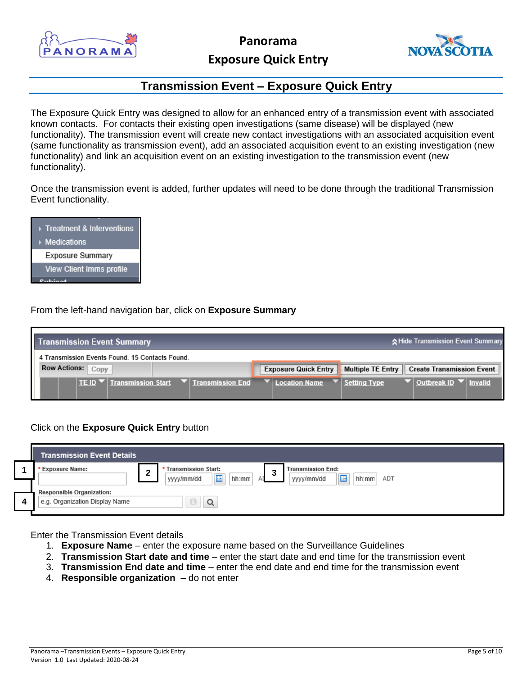

**Panorama**



## **Exposure Quick Entry**

## **Transmission Event – Exposure Quick Entry**

<span id="page-4-0"></span>The Exposure Quick Entry was designed to allow for an enhanced entry of a transmission event with associated known contacts. For contacts their existing open investigations (same disease) will be displayed (new functionality). The transmission event will create new contact investigations with an associated acquisition event (same functionality as transmission event), add an associated acquisition event to an existing investigation (new functionality) and link an acquisition event on an existing investigation to the transmission event (new functionality).

Once the transmission event is added, further updates will need to be done through the traditional Transmission Event functionality.



From the left-hand navigation bar, click on **Exposure Summary**



### Click on the **Exposure Quick Entry** button

| <b>Transmission Event Details</b>                                  |                                                                                   |
|--------------------------------------------------------------------|-----------------------------------------------------------------------------------|
| <b>Exposure Name:</b><br>◠<br>▴                                    | <b>Transmission Start:</b><br><b>Transmission End:</b><br>ົ<br>٠J<br>圖<br>E<br>ΔF |
| <b>Responsible Organization:</b><br>e.g. Organization Display Name | hh:mm<br>hh:mm<br>yyyy/mm/dd<br>yyyy/mm/dd<br>ADT<br>Q                            |

Enter the Transmission Event details

- 1. **Exposure Name** enter the exposure name based on the Surveillance Guidelines
- 2. **Transmission Start date and time** enter the start date and end time for the transmission event
- 3. **Transmission End date and time**  enter the end date and end time for the transmission event
- 4. **Responsible organization**  do not enter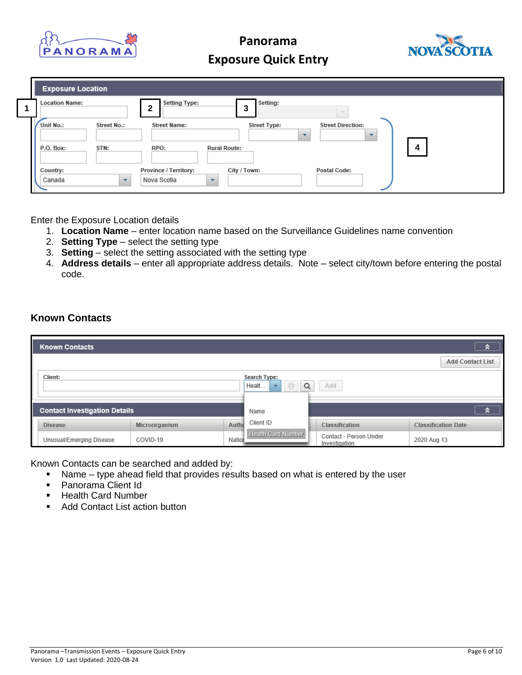



| <b>Exposure Location</b>                                     |                                                                        |                                                      |
|--------------------------------------------------------------|------------------------------------------------------------------------|------------------------------------------------------|
| <b>Location Name:</b><br>$\mathbf{2}$                        | <b>Setting Type:</b><br>Setting:<br>3                                  |                                                      |
| Unit No.:<br>Street No.:                                     | <b>Street Type:</b><br><b>Street Name:</b><br>$\overline{\phantom{a}}$ | <b>Street Direction:</b><br>$\overline{\phantom{a}}$ |
| STN:<br>RPO:<br>P.O. Box:                                    | <b>Rural Route:</b>                                                    | 4                                                    |
| Country:<br>Nova Scotia<br>Canada<br>$\overline{\mathbf{v}}$ | City / Town:<br>Province / Territory:<br>$\overline{\phantom{a}}$      | <b>Postal Code:</b>                                  |

Enter the Exposure Location details

- 1. **Location Name** enter location name based on the Surveillance Guidelines name convention
- 2. **Setting Type** select the setting type
- 3. **Setting**  select the setting associated with the setting type
- 4. **Address details**  enter all appropriate address details. Note select city/town before entering the postal code.

### **Known Contacts**

|         | <b>Known Contacts</b>                |               |                            |                    |                |                        |                            | a |
|---------|--------------------------------------|---------------|----------------------------|--------------------|----------------|------------------------|----------------------------|---|
|         |                                      |               |                            |                    |                |                        | <b>Add Contact List</b>    |   |
| Client: |                                      |               | Search Type:<br>Q<br>Healt | Add                |                |                        |                            |   |
|         | <b>Contact Investigation Details</b> |               |                            | Name               |                |                        |                            | a |
|         | <b>Disease</b>                       | Microorganism | Autho                      | Client ID          | Classification |                        | <b>Classification Date</b> |   |
|         | Unusual/Emerging Disease             | COVID-19      | Nation                     | Health Card Number | Investigation  | Contact - Person Under | 2020 Aug 13                |   |

Known Contacts can be searched and added by:

- Name type ahead field that provides results based on what is entered by the user
- **Panorama Client Id**
- Health Card Number
- Add Contact List action button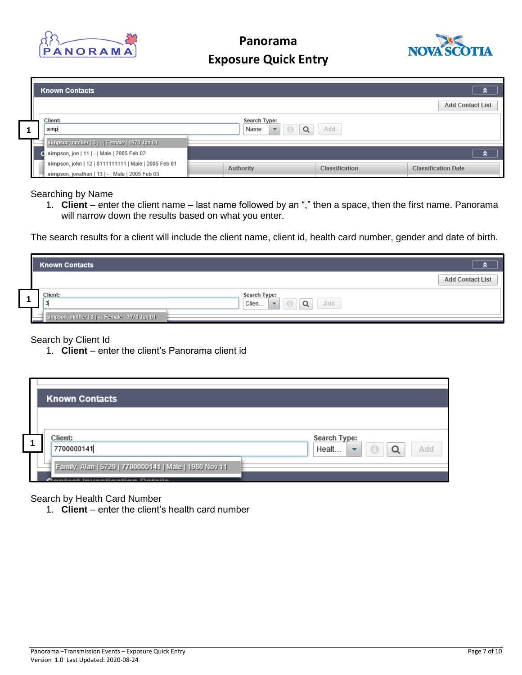



|  | <b>Known Contacts</b>                                                                        |                                       |                       | ×.<br><b>Add Contact List</b> |
|--|----------------------------------------------------------------------------------------------|---------------------------------------|-----------------------|-------------------------------|
|  | Client:                                                                                      | Search Type:                          |                       |                               |
|  | simp                                                                                         | Q<br>$\overline{\phantom{a}}$<br>Name | Add                   |                               |
|  | simpson, mother   3   -   Female   1970 Jan 01<br>simpson, jon   11   -   Male   2005 Feb 02 |                                       |                       |                               |
|  | simpson, john   12   8111111111   Male   2005 Feb 01                                         |                                       |                       | я                             |
|  | simpson, jonathan   13   -   Male   2005 Feb 03                                              | Authority                             | <b>Classification</b> | <b>Classification Date</b>    |

Searching by Name

1. **Client** – enter the client name – last name followed by an "," then a space, then the first name. Panorama will narrow down the results based on what you enter.

The search results for a client will include the client name, client id, health card number, gender and date of birth.

| <b>Known Contacts</b>                          |                                                               |                         |
|------------------------------------------------|---------------------------------------------------------------|-------------------------|
|                                                |                                                               | <b>Add Contact List</b> |
| Client:                                        | Search Type:<br>Q<br>Add<br>Clien<br>$\overline{\phantom{0}}$ |                         |
| simpson, mother   3   -   Female   1970 Jan 01 |                                                               |                         |

#### Search by Client Id

1. **Client** – enter the client's Panorama client id

| <b>Known Contacts</b>                                                                         |                                         |
|-----------------------------------------------------------------------------------------------|-----------------------------------------|
|                                                                                               |                                         |
| Client:                                                                                       | Search Type:                            |
| 7700000141                                                                                    | $\Box$<br>Healt<br>$\rightarrow$<br>Add |
| Family, Alan   5729   7700000141   Male   1980 Nov 11<br><b>Pantant Inuarkiantian Bataile</b> |                                         |

#### Search by Health Card Number

1. **Client** – enter the client's health card number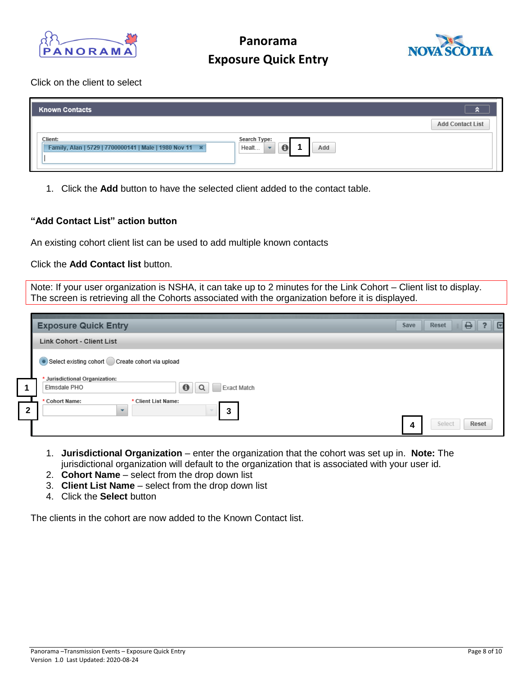



### Click on the client to select

| <b>Known Contacts</b>                                              |                                           |
|--------------------------------------------------------------------|-------------------------------------------|
|                                                                    | <b>Add Contact List</b>                   |
| Client:<br>Family, Alan   5729   7700000141   Male   1980 Nov 11 * | Search Type:<br>$\bullet$<br>Add<br>Healt |

1. Click the **Add** button to have the selected client added to the contact table.

### **"Add Contact List" action button**

An existing cohort client list can be used to add multiple known contacts

Click the **Add Contact list** button.

Note: If your user organization is NSHA, it can take up to 2 minutes for the Link Cohort – Client list to display. The screen is retrieving all the Cohorts associated with the organization before it is displayed.

|              | <b>Exposure Quick Entry</b>                                                                 | Save | <b>Reset</b> | ⊖     | ∥ ⊽ |
|--------------|---------------------------------------------------------------------------------------------|------|--------------|-------|-----|
|              | <b>Link Cohort - Client List</b>                                                            |      |              |       |     |
|              | Select existing cohort Create cohort via upload                                             |      |              |       |     |
| 1            | * Jurisdictional Organization:<br>$\bf \Theta$<br>Elmsdale PHO<br>Q<br>Exact Match          |      |              |       |     |
| $\mathbf{2}$ | * Cohort Name:<br>* Client List Name:<br>$\mathbf{3}$<br>$\sim$<br>$\overline{\phantom{a}}$ |      |              |       |     |
|              |                                                                                             | 4    | Select       | Reset |     |

- 1. **Jurisdictional Organization**  enter the organization that the cohort was set up in. **Note:** The jurisdictional organization will default to the organization that is associated with your user id.
- 2. **Cohort Name**  select from the drop down list
- 3. **Client List Name**  select from the drop down list
- 4. Click the **Select** button

The clients in the cohort are now added to the Known Contact list.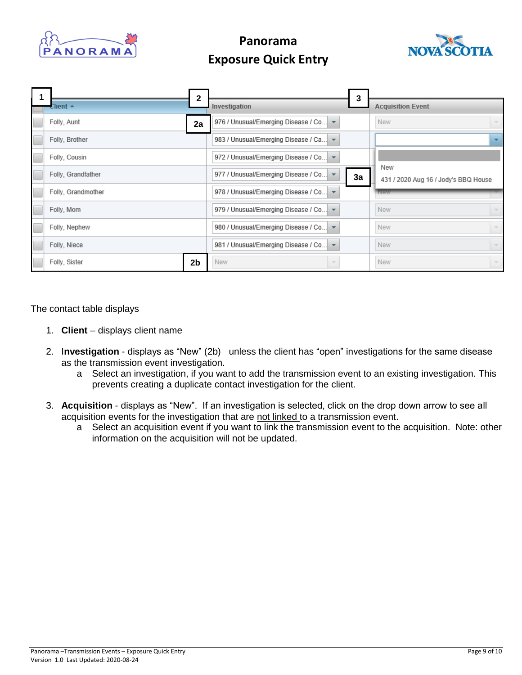



|                    | 2              |                                                          | 3  |                                             |
|--------------------|----------------|----------------------------------------------------------|----|---------------------------------------------|
| Client $\triangle$ |                | Investigation                                            |    | <b>Acquisition Event</b>                    |
| Folly, Aunt        | 2a             | 976 / Unusual/Emerging Disease / Co ~                    |    | New                                         |
| Folly, Brother     |                | 983 / Unusual/Emerging Disease / Ca v                    |    |                                             |
| Folly, Cousin      |                | 972 / Unusual/Emerging Disease / Co   v                  |    |                                             |
| Folly, Grandfather |                | 977 / Unusual/Emerging Disease / Co                      | За | New<br>431 / 2020 Aug 16 / Jody's BBQ House |
| Folly, Grandmother |                | 978 / Unusual/Emerging Disease / Co   v                  |    |                                             |
| Folly, Mom         |                | 979 / Unusual/Emerging Disease / Co $\blacktriangledown$ |    | New                                         |
| Folly, Nephew      |                | 980 / Unusual/Emerging Disease / Co v                    |    | New                                         |
| Folly, Niece       |                | 981 / Unusual/Emerging Disease / Co v                    |    | New<br>$\overline{\phantom{a}}$             |
| Folly, Sister      | 2 <sub>b</sub> | New                                                      |    | New                                         |

The contact table displays

- 1. **Client** displays client name
- 2. I**nvestigation** displays as "New" (2b) unless the client has "open" investigations for the same disease as the transmission event investigation.
	- a Select an investigation, if you want to add the transmission event to an existing investigation. This prevents creating a duplicate contact investigation for the client.
- 3. **Acquisition**  displays as "New". If an investigation is selected, click on the drop down arrow to see all acquisition events for the investigation that are not linked to a transmission event.
	- a Select an acquisition event if you want to link the transmission event to the acquisition. Note: other information on the acquisition will not be updated.